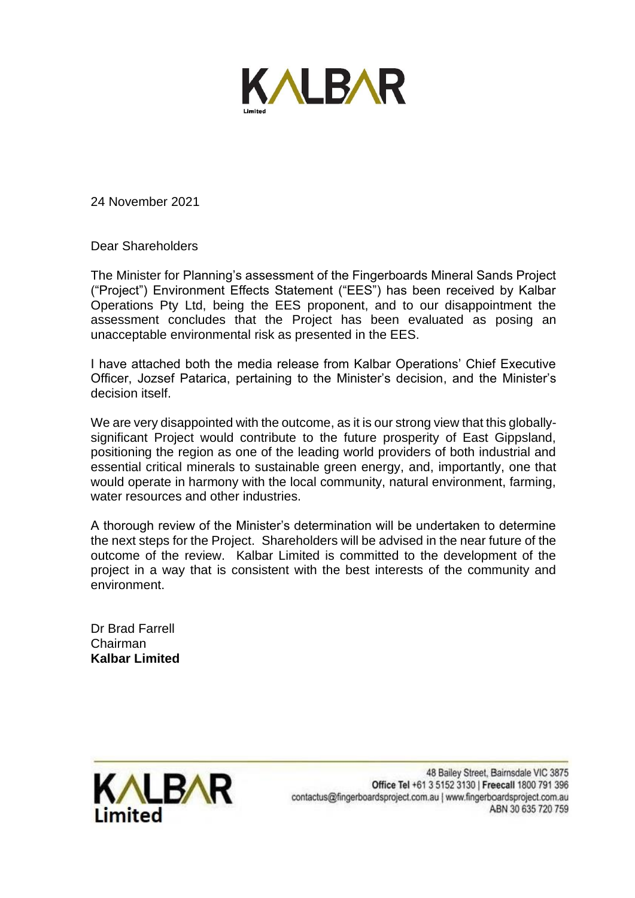

24 November 2021

Dear Shareholders

The Minister for Planning's assessment of the Fingerboards Mineral Sands Project ("Project") Environment Effects Statement ("EES") has been received by Kalbar Operations Pty Ltd, being the EES proponent, and to our disappointment the assessment concludes that the Project has been evaluated as posing an unacceptable environmental risk as presented in the EES.

I have attached both the media release from Kalbar Operations' Chief Executive Officer, Jozsef Patarica, pertaining to the Minister's decision, and the Minister's decision itself.

We are very disappointed with the outcome, as it is our strong view that this globallysignificant Project would contribute to the future prosperity of East Gippsland, positioning the region as one of the leading world providers of both industrial and essential critical minerals to sustainable green energy, and, importantly, one that would operate in harmony with the local community, natural environment, farming, water resources and other industries.

A thorough review of the Minister's determination will be undertaken to determine the next steps for the Project. Shareholders will be advised in the near future of the outcome of the review. Kalbar Limited is committed to the development of the project in a way that is consistent with the best interests of the community and environment.

Dr Brad Farrell Chairman **Kalbar Limited**

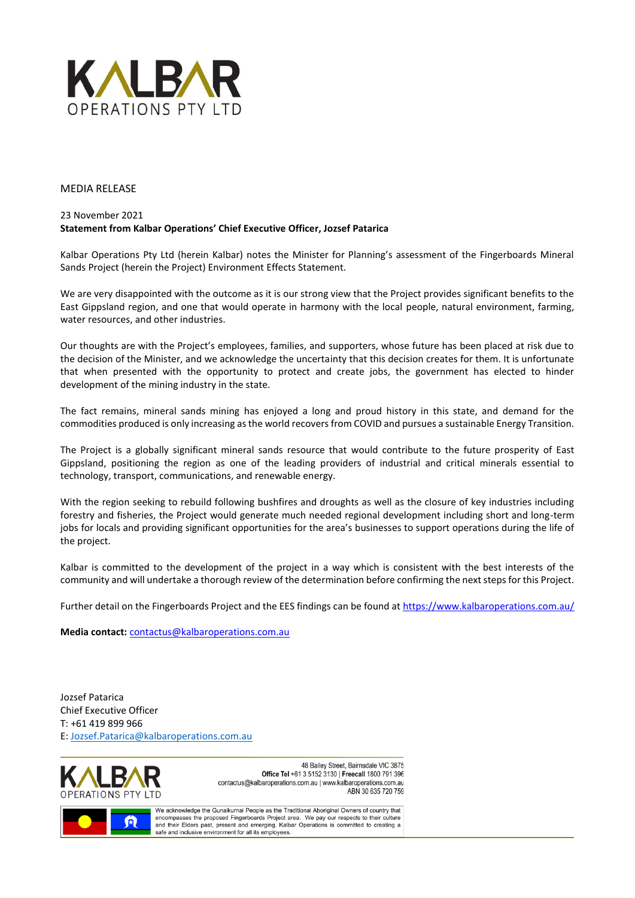

#### MEDIA RELEASE

#### 23 November 2021 **Statement from Kalbar Operations' Chief Executive Officer, Jozsef Patarica**

Kalbar Operations Pty Ltd (herein Kalbar) notes the Minister for Planning's assessment of the Fingerboards Mineral Sands Project (herein the Project) Environment Effects Statement.

We are very disappointed with the outcome as it is our strong view that the Project provides significant benefits to the East Gippsland region, and one that would operate in harmony with the local people, natural environment, farming, water resources, and other industries.

Our thoughts are with the Project's employees, families, and supporters, whose future has been placed at risk due to the decision of the Minister, and we acknowledge the uncertainty that this decision creates for them. It is unfortunate that when presented with the opportunity to protect and create jobs, the government has elected to hinder development of the mining industry in the state.

The fact remains, mineral sands mining has enjoyed a long and proud history in this state, and demand for the commodities produced is only increasing as the world recovers from COVID and pursues a sustainable Energy Transition.

The Project is a globally significant mineral sands resource that would contribute to the future prosperity of East Gippsland, positioning the region as one of the leading providers of industrial and critical minerals essential to technology, transport, communications, and renewable energy.

With the region seeking to rebuild following bushfires and droughts as well as the closure of key industries including forestry and fisheries, the Project would generate much needed regional development including short and long-term jobs for locals and providing significant opportunities for the area's businesses to support operations during the life of the project.

Kalbar is committed to the development of the project in a way which is consistent with the best interests of the community and will undertake a thorough review of the determination before confirming the next steps for this Project.

Further detail on the Fingerboards Project and the EES findings can be found at<https://www.kalbaroperations.com.au/>

**Media contact:** [contactus@kalbaroperations.com.au](mailto:contactus@kalbaroperations.com.au)

Jozsef Patarica Chief Executive Officer T: +61 419 899 966 E[: Jozsef.Patarica@kalbaroperations.com.au](mailto:Jozsef.Patarica@kalbaroperations.com.au)



48 Bailey Street, Bairnsdale VIC 3875 Office Tel +61 3 5152 3130 | Freecall 1800 791 396 contactus@kalbaroperations.com.au | www.kalbaroperations.com.au ABN 30 635 720 759



We acknowledge the Gunaikurnai People as the Traditional Aboriginal Owners of country that encompasses the proposed Fingerboards Project area. We pay our respects to their culture and their Elders past, present and emerging. Kalbar Operations is committed to creating a safe and inclusive environment for all its employees.